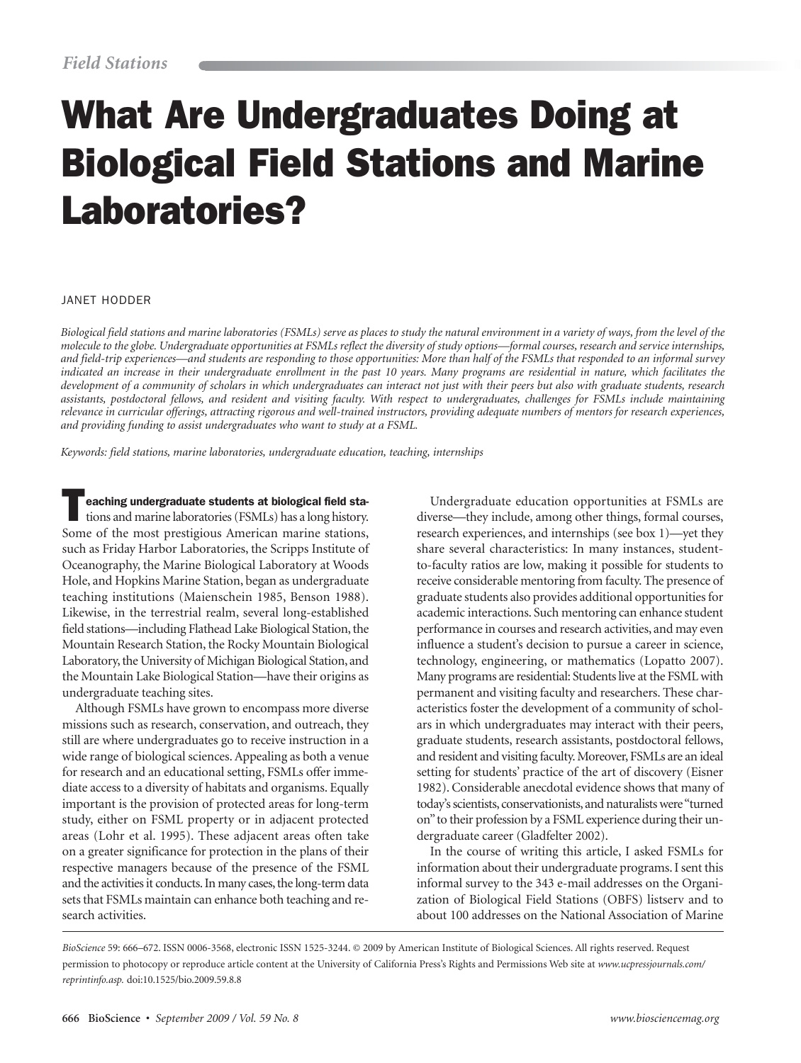# What Are Undergraduates Doing at Biological Field Stations and Marine Laboratories?

### JANET HODDER

*Biological field stations and marine laboratories (FSMLs) serve as places to study the natural environment in a variety of ways, from the level of the molecule to the globe. Undergraduate opportunities at FSMLs reflect the diversity of study options—formal courses, research and service internships, and field-trip experiences—and students are responding to those opportunities: More than half of the FSMLs that responded to an informal survey indicated an increase in their undergraduate enrollment in the past 10 years. Many programs are residential in nature, which facilitates the development of a community of scholars in which undergraduates can interact not just with their peers but also with graduate students, research assistants, postdoctoral fellows, and resident and visiting faculty. With respect to undergraduates, challenges for FSMLs include maintaining relevance in curricular offerings, attracting rigorous and well-trained instructors, providing adequate numbers of mentors for research experiences, and providing funding to assist undergraduates who want to study at a FSML.*

*Keywords: field stations, marine laboratories, undergraduate education, teaching, internships*

**Teaching undergraduate students at biological field sta**tions and marine laboratories (FSMLs) has a long history. Some of the most prestigious American marine stations, such as Friday Harbor Laboratories, the Scripps Institute of Oceanography, the Marine Biological Laboratory at Woods Hole, and Hopkins Marine Station, began as undergraduate teaching institutions (Maienschein 1985, Benson 1988). Likewise, in the terrestrial realm, several long-established field stations—including Flathead Lake Biological Station, the Mountain Research Station, the Rocky Mountain Biological Laboratory, the University of Michigan Biological Station, and the Mountain Lake Biological Station—have their origins as undergraduate teaching sites.

Although FSMLs have grown to encompass more diverse missions such as research, conservation, and outreach, they still are where undergraduates go to receive instruction in a wide range of biological sciences. Appealing as both a venue for research and an educational setting, FSMLs offer immediate access to a diversity of habitats and organisms. Equally important is the provision of protected areas for long-term study, either on FSML property or in adjacent protected areas (Lohr et al. 1995). These adjacent areas often take on a greater significance for protection in the plans of their respective managers because of the presence of the FSML and the activities it conducts. In many cases, the long-term data sets that FSMLs maintain can enhance both teaching and research activities.

Undergraduate education opportunities at FSMLs are diverse—they include, among other things, formal courses, research experiences, and internships (see box 1)—yet they share several characteristics: In many instances, studentto-faculty ratios are low, making it possible for students to receive considerable mentoring from faculty. The presence of graduate students also provides additional opportunities for academic interactions. Such mentoring can enhance student performance in courses and research activities, and may even influence a student's decision to pursue a career in science, technology, engineering, or mathematics (Lopatto 2007). Many programs are residential: Students live at the FSML with permanent and visiting faculty and researchers. These characteristics foster the development of a community of scholars in which undergraduates may interact with their peers, graduate students, research assistants, postdoctoral fellows, and resident and visiting faculty. Moreover, FSMLs are an ideal setting for students' practice of the art of discovery (Eisner 1982). Considerable anecdotal evidence shows that many of today's scientists, conservationists, and naturalists were "turned on" to their profession by a FSML experience during their under graduate career (Gladfelter 2002).

In the course of writing this article, I asked FSMLs for information about their undergraduate programs. I sent this informal survey to the 343 e-mail addresses on the Organization of Biological Field Stations (OBFS) listserv and to about 100 addresses on the National Association of Marine

*BioScience* 59: 666–672. ISSN 0006-3568, electronic ISSN 1525-3244. © 2009 by American Institute of Biological Sciences. All rights reserved. Request permission to photocopy or reproduce article content at the University of California Press's Rights and Permissions Web site at *www.ucpressjournals.com/ reprintinfo.asp.* doi:10.1525/bio.2009.59.8.8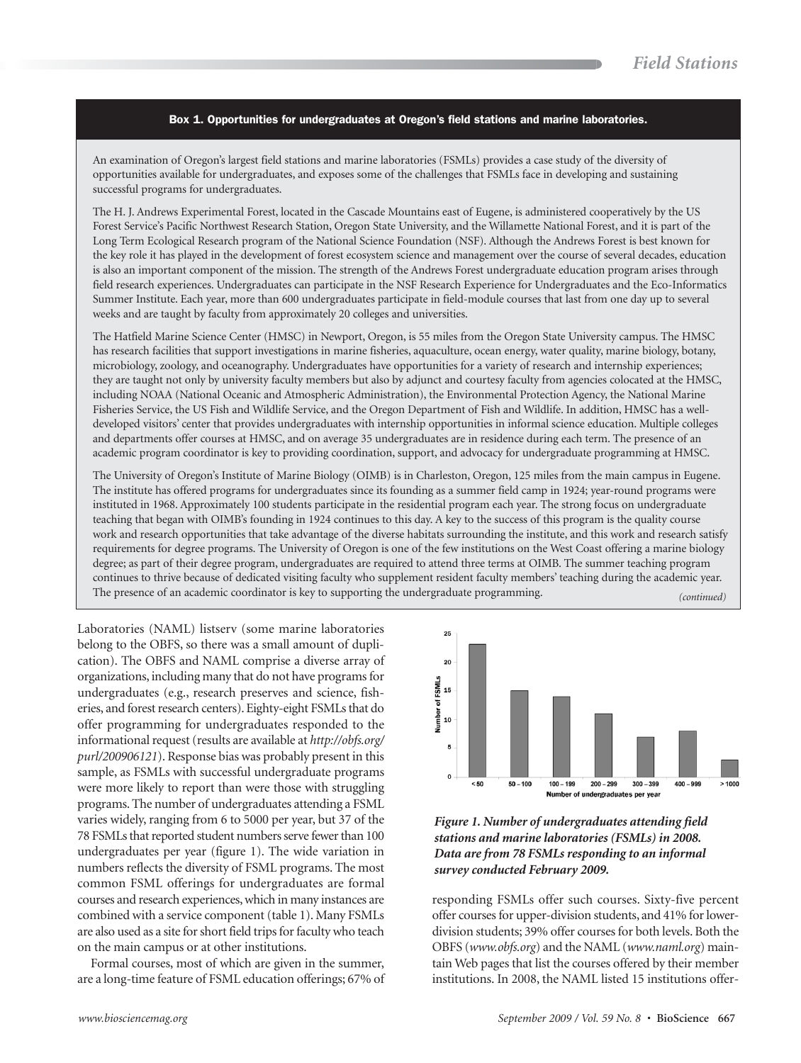#### Box 1. Opportunities for undergraduates at Oregon's field stations and marine laboratories.

An examination of Oregon's largest field stations and marine laboratories (FSMLs) provides a case study of the diversity of opportunities available for undergraduates, and exposes some of the challenges that FSMLs face in developing and sustaining successful programs for undergraduates.

The H. J. Andrews Experimental Forest, located in the Cascade Mountains east of Eugene, is administered cooperatively by the US Forest Service's Pacific Northwest Research Station, Oregon State University, and the Willamette National Forest, and it is part of the Long Term Ecological Research program of the National Science Foundation (NSF). Although the Andrews Forest is best known for the key role it has played in the development of forest ecosystem science and management over the course of several decades, education is also an important component of the mission. The strength of the Andrews Forest undergraduate education program arises through field research experiences. Undergraduates can participate in the NSF Research Experience for Undergraduates and the Eco-Informatics Summer Institute. Each year, more than 600 undergraduates participate in field-module courses that last from one day up to several weeks and are taught by faculty from approximately 20 colleges and universities.

The Hatfield Marine Science Center (HMSC) in Newport, Oregon, is 55 miles from the Oregon State University campus. The HMSC has research facilities that support investigations in marine fisheries, aquaculture, ocean energy, water quality, marine biology, botany, microbiology, zoology, and oceanography. Undergraduates have opportunities for a variety of research and internship experiences; they are taught not only by university faculty members but also by adjunct and courtesy faculty from agencies colocated at the HMSC, including NOAA (National Oceanic and Atmospheric Administration), the Environmental Protection Agency, the National Marine Fisheries Service, the US Fish and Wildlife Service, and the Oregon Department of Fish and Wildlife. In addition, HMSC has a welldeveloped visitors' center that provides undergraduates with internship opportunities in informal science education. Multiple colleges and departments offer courses at HMSC, and on average 35 undergraduates are in residence during each term. The presence of an academic program coordinator is key to providing coordination, support, and advocacy for undergraduate programming at HMSC.

The University of Oregon's Institute of Marine Biology (OIMB) is in Charleston, Oregon, 125 miles from the main campus in Eugene. The institute has offered programs for undergraduates since its founding as a summer field camp in 1924; year-round programs were instituted in 1968. Approximately 100 students participate in the residential program each year. The strong focus on undergraduate teaching that began with OIMB's founding in 1924 continues to this day. A key to the success of this program is the quality course work and research opportunities that take advantage of the diverse habitats surrounding the institute, and this work and research satisfy requirements for degree programs. The University of Oregon is one of the few institutions on the West Coast offering a marine biology degree; as part of their degree program, undergraduates are required to attend three terms at OIMB. The summer teaching program continues to thrive because of dedicated visiting faculty who supplement resident faculty members' teaching during the academic year. The presence of an academic coordinator is key to supporting the undergraduate programming. *(continued)*

Laboratories (NAML) listserv (some marine laboratories belong to the OBFS, so there was a small amount of duplication). The OBFS and NAML comprise a diverse array of organizations, including many that do not have programs for undergraduates (e.g., research preserves and science, fisheries, and forest research centers). Eighty-eight FSMLs that do offer programming for undergraduates responded to the informational request (results are available at *http://obfs.org/ purl/200906121*). Response bias was probably present in this sample, as FSMLs with successful undergraduate programs were more likely to report than were those with struggling programs. The number of undergraduates attending a FSML varies widely, ranging from 6 to 5000 per year, but 37 of the 78 FSMLs that reported student numbers serve fewer than 100 undergraduates per year (figure 1). The wide variation in numbers reflects the diversity of FSML programs. The most common FSML offerings for undergraduates are formal courses and research experiences, which in many instances are combined with a service component (table 1). Many FSMLs are also used as a site for short field trips for faculty who teach on the main campus or at other institutions.

Formal courses, most of which are given in the summer, are a long-time feature of FSML education offerings; 67% of



*Figure 1. Number of undergraduates attending field stations and marine laboratories (FSMLs) in 2008. Data are from 78 FSMLs responding to an informal survey conducted February 2009.*

responding FSMLs offer such courses. Sixty-five percent offer courses for upper-division students, and 41% for lowerdivision students; 39% offer courses for both levels. Both the OBFS (*www.obfs.org*) and the NAML (*www.naml.org*) maintain Web pages that list the courses offered by their member institutions. In 2008, the NAML listed 15 institutions offer-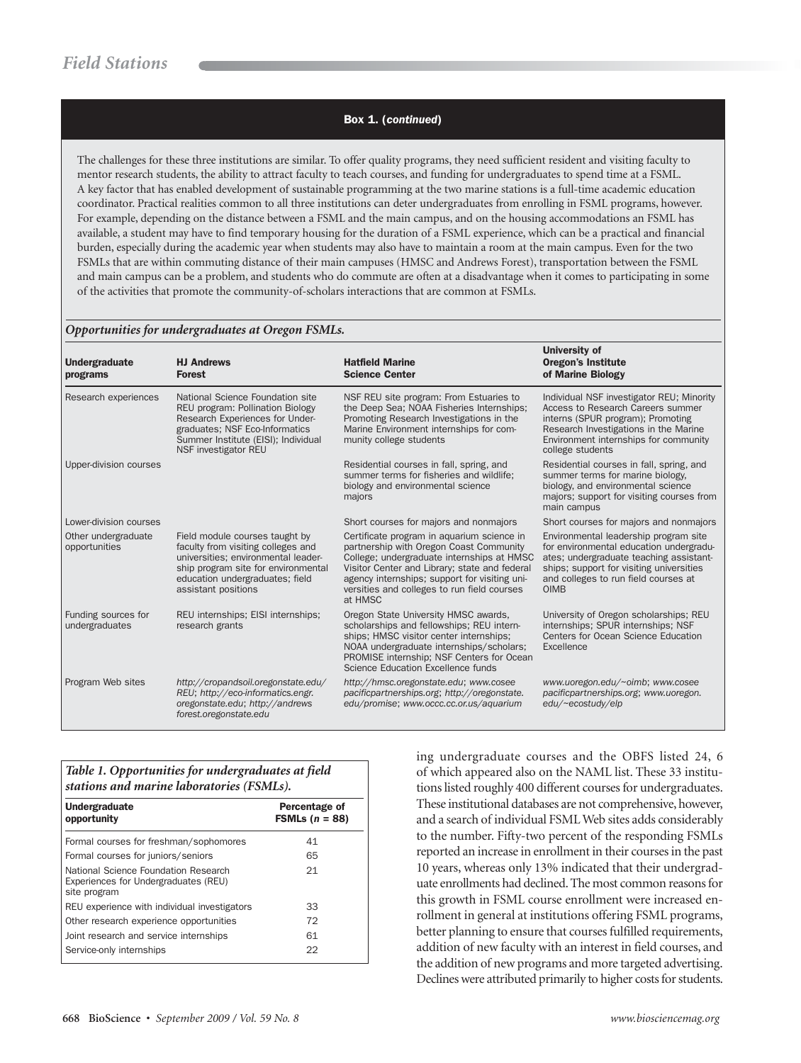#### Box 1. (*continued*)

The challenges for these three institutions are similar. To offer quality programs, they need sufficient resident and visiting faculty to mentor research students, the ability to attract faculty to teach courses, and funding for undergraduates to spend time at a FSML. A key factor that has enabled development of sustainable programming at the two marine stations is a full-time academic education coordinator. Practical realities common to all three institutions can deter undergraduates from enrolling in FSML programs, however. For example, depending on the distance between a FSML and the main campus, and on the housing accommodations an FSML has available, a student may have to find temporary housing for the duration of a FSML experience, which can be a practical and financial burden, especially during the academic year when students may also have to maintain a room at the main campus. Even for the two FSMLs that are within commuting distance of their main campuses (HMSC and Andrews Forest), transportation between the FSML and main campus can be a problem, and students who do commute are often at a disadvantage when it comes to participating in some of the activities that promote the community-of-scholars interactions that are common at FSMLs.

#### *Opportunities for undergraduates at Oregon FSMLs.*

| Undergraduate<br>programs             | <b>HJ Andrews</b><br><b>Forest</b>                                                                                                                                                                              | <b>Hatfield Marine</b><br><b>Science Center</b>                                                                                                                                                                                                                                                 | University of<br><b>Oregon's Institute</b><br>of Marine Biology                                                                                                                                                                |
|---------------------------------------|-----------------------------------------------------------------------------------------------------------------------------------------------------------------------------------------------------------------|-------------------------------------------------------------------------------------------------------------------------------------------------------------------------------------------------------------------------------------------------------------------------------------------------|--------------------------------------------------------------------------------------------------------------------------------------------------------------------------------------------------------------------------------|
| Research experiences                  | National Science Foundation site<br>REU program: Pollination Biology<br>Research Experiences for Under-<br>graduates; NSF Eco-Informatics<br>Summer Institute (EISI); Individual<br><b>NSF investigator REU</b> | NSF REU site program: From Estuaries to<br>the Deep Sea; NOAA Fisheries Internships;<br>Promoting Research Investigations in the<br>Marine Environment internships for com-<br>munity college students                                                                                          | Individual NSF investigator REU; Minority<br>Access to Research Careers summer<br>interns (SPUR program); Promoting<br>Research Investigations in the Marine<br>Environment internships for community<br>college students      |
| <b>Upper-division courses</b>         |                                                                                                                                                                                                                 | Residential courses in fall, spring, and<br>summer terms for fisheries and wildlife;<br>biology and environmental science<br>majors                                                                                                                                                             | Residential courses in fall, spring, and<br>summer terms for marine biology,<br>biology, and environmental science<br>majors; support for visiting courses from<br>main campus                                                 |
| Lower-division courses                |                                                                                                                                                                                                                 | Short courses for majors and nonmajors                                                                                                                                                                                                                                                          | Short courses for majors and nonmajors                                                                                                                                                                                         |
| Other undergraduate<br>opportunities  | Field module courses taught by<br>faculty from visiting colleges and<br>universities; environmental leader-<br>ship program site for environmental<br>education undergraduates; field<br>assistant positions    | Certificate program in aquarium science in<br>partnership with Oregon Coast Community<br>College; undergraduate internships at HMSC<br>Visitor Center and Library; state and federal<br>agency internships; support for visiting uni-<br>versities and colleges to run field courses<br>at HMSC | Environmental leadership program site<br>for environmental education undergradu-<br>ates; undergraduate teaching assistant-<br>ships; support for visiting universities<br>and colleges to run field courses at<br><b>OIMB</b> |
| Funding sources for<br>undergraduates | REU internships; EISI internships;<br>research grants                                                                                                                                                           | Oregon State University HMSC awards,<br>scholarships and fellowships; REU intern-<br>ships; HMSC visitor center internships;<br>NOAA undergraduate internships/scholars;<br>PROMISE internship; NSF Centers for Ocean<br>Science Education Excellence funds                                     | University of Oregon scholarships; REU<br>internships; SPUR internships; NSF<br>Centers for Ocean Science Education<br>Excellence                                                                                              |
| Program Web sites                     | http://cropandsoil.oregonstate.edu/<br>REU; http://eco-informatics.engr.<br>oregonstate.edu; http://andrews<br>forest.oregonstate.edu                                                                           | http://hmsc.oregonstate.edu; www.cosee<br>pacificpartnerships.org; http://oregonstate.<br>edu/promise; www.occc.cc.or.us/aquarium                                                                                                                                                               | www.uoregon.edu/~oimb; www.cosee<br>pacificpartnerships.org; www.uoregon.<br>edu/~ecostudy/elp                                                                                                                                 |

#### *Table 1. Opportunities for undergraduates at field stations and marine laboratories (FSMLs).*

| Undergraduate<br>opportunity                                                                 | Percentage of<br>FSMLs $(n = 88)$ |
|----------------------------------------------------------------------------------------------|-----------------------------------|
| Formal courses for freshman/sophomores                                                       | 41                                |
| Formal courses for juniors/seniors                                                           | 65                                |
| National Science Foundation Research<br>Experiences for Undergraduates (REU)<br>site program | 21                                |
| REU experience with individual investigators                                                 | 33                                |
| Other research experience opportunities                                                      | 72                                |
| Joint research and service internships                                                       | 61                                |
| Service-only internships                                                                     | 22                                |

ing undergraduate courses and the OBFS listed 24, 6 of which appeared also on the NAML list. These 33 institutions listed roughly 400 different courses for undergraduates. These institutional databases are not comprehensive, however, and a search of individual FSML Web sites adds considerably to the number. Fifty-two percent of the responding FSMLs reported an increase in enrollment in their courses in the past 10 years, whereas only 13% indicated that their undergraduate enrollments had declined. The most common reasons for this growth in FSML course enrollment were increased enrollment in general at institutions offering FSML programs, better planning to ensure that courses fulfilled requirements, addition of new faculty with an interest in field courses, and the addition of new programs and more targeted advertising. Declines were attributed primarily to higher costs for students.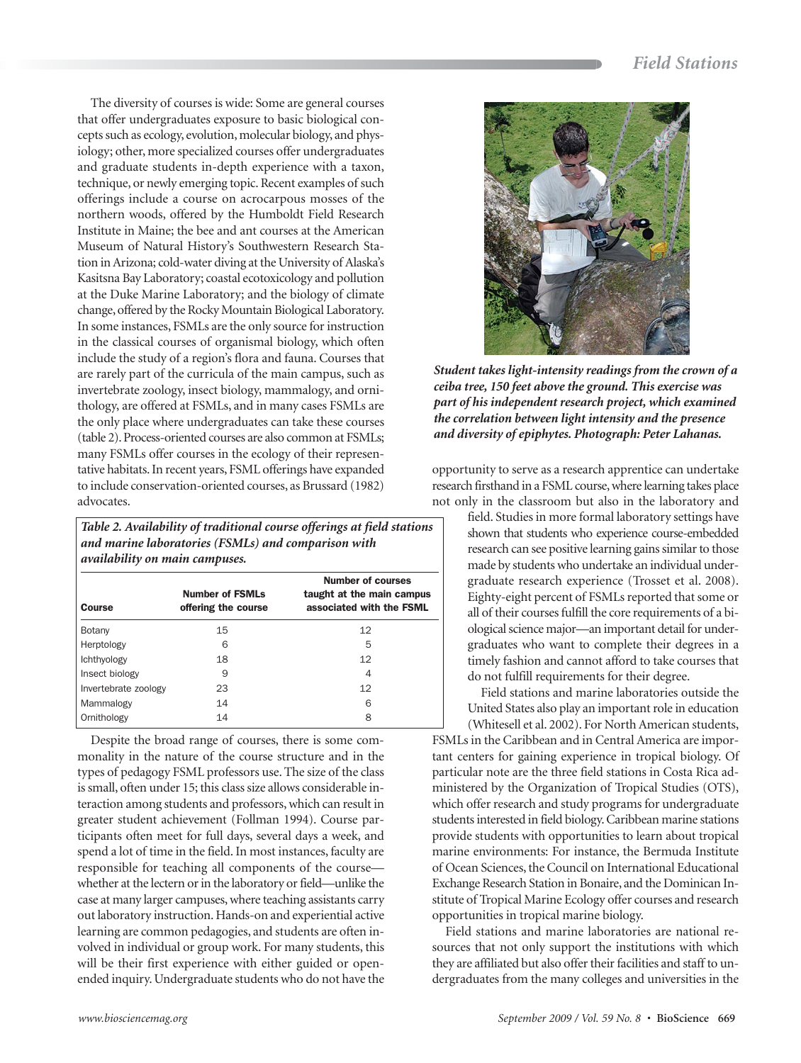The diversity of courses is wide: Some are general courses that offer undergraduates exposure to basic biological concepts such as ecology, evolution, molecular biology, and physiology; other, more specialized courses offer undergraduates and graduate students in-depth experience with a taxon, technique, or newly emerging topic. Recent examples of such offerings include a course on acrocarpous mosses of the northern woods, offered by the Humboldt Field Research Institute in Maine; the bee and ant courses at the American Museum of Natural History's Southwestern Research Station in Arizona; cold-water diving at the University of Alaska's Kasitsna Bay Laboratory; coastal ecotoxicology and pollution at the Duke Marine Laboratory; and the biology of climate change, offered by the Rocky Mountain Biological Laboratory. In some instances, FSMLs are the only source for instruction in the classical courses of organismal biology, which often include the study of a region's flora and fauna. Courses that are rarely part of the curricula of the main campus, such as invertebrate zoology, insect biology, mammalogy, and orni thology, are offered at FSMLs, and in many cases FSMLs are the only place where undergraduates can take these courses (table 2). Process-oriented courses are also common at FSMLs; many FSMLs offer courses in the ecology of their representative habitats. In recent years, FSML offerings have expanded to include conservation-oriented courses, as Brussard (1982) advocates.

*Table 2. Availability of traditional course offerings at field stations and marine laboratories (FSMLs) and comparison with availability on main campuses.*

| Course               | <b>Number of FSMLs</b><br>offering the course | <b>Number of courses</b><br>taught at the main campus<br>associated with the FSML |
|----------------------|-----------------------------------------------|-----------------------------------------------------------------------------------|
| Botany               | 15                                            | 12                                                                                |
| Herptology           | 6                                             | 5                                                                                 |
| <b>Ichthyology</b>   | 18                                            | 12                                                                                |
| Insect biology       | 9                                             | 4                                                                                 |
| Invertebrate zoology | 23                                            | 12                                                                                |
| Mammalogy            | 14                                            | 6                                                                                 |
| Ornithology          | 14                                            | 8                                                                                 |

Despite the broad range of courses, there is some commonality in the nature of the course structure and in the types of pedagogy FSML professors use. The size of the class is small, often under 15; this class size allows considerable interaction among students and professors, which can result in greater student achievement (Follman 1994). Course participants often meet for full days, several days a week, and spend a lot of time in the field. In most instances, faculty are responsible for teaching all components of the course whether at the lectern or in the laboratory or field—unlike the case at many larger campuses, where teaching assistants carry out laboratory instruction. Hands-on and experiential active learning are common pedagogies, and students are often involved in individual or group work. For many students, this will be their first experience with either guided or openended inquiry. Undergraduate students who do not have the



*Student takes light-intensity readings from the crown of a ceiba tree, 150 feet above the ground. This exercise was part of his independent research project, which examined the correlation between light intensity and the presence and diversity of epiphytes. Photograph: Peter Lahanas.*

opportunity to serve as a research apprentice can undertake research firsthand in a FSML course, where learning takes place not only in the classroom but also in the laboratory and

> field. Studies in more formal laboratory settings have shown that students who experience course-embedded research can see positive learning gains similar to those made by students who undertake an individual under graduate research experience (Trosset et al. 2008). Eighty-eight percent of FSMLs reported that some or all of their courses fulfill the core requirements of a biological science major-an important detail for undergraduates who want to complete their degrees in a timely fashion and cannot afford to take courses that do not fulfill requirements for their degree.

> Field stations and marine laboratories outside the United States also play an important role in education (Whitesell et al. 2002). For North American students,

FSMLs in the Caribbean and in Central America are important centers for gaining experience in tropical biology. Of particular note are the three field stations in Costa Rica administered by the Organization of Tropical Studies (OTS), which offer research and study programs for undergraduate students interested in field biology. Caribbean marine stations provide students with opportunities to learn about tropical marine environments: For instance, the Bermuda Institute of Ocean Sciences, the Council on International Educational Exchange Research Station in Bonaire, and the Dominican Institute of Tropical Marine Ecology offer courses and research opportunities in tropical marine biology.

Field stations and marine laboratories are national resources that not only support the institutions with which they are affiliated but also offer their facilities and staff to undergraduates from the many colleges and universities in the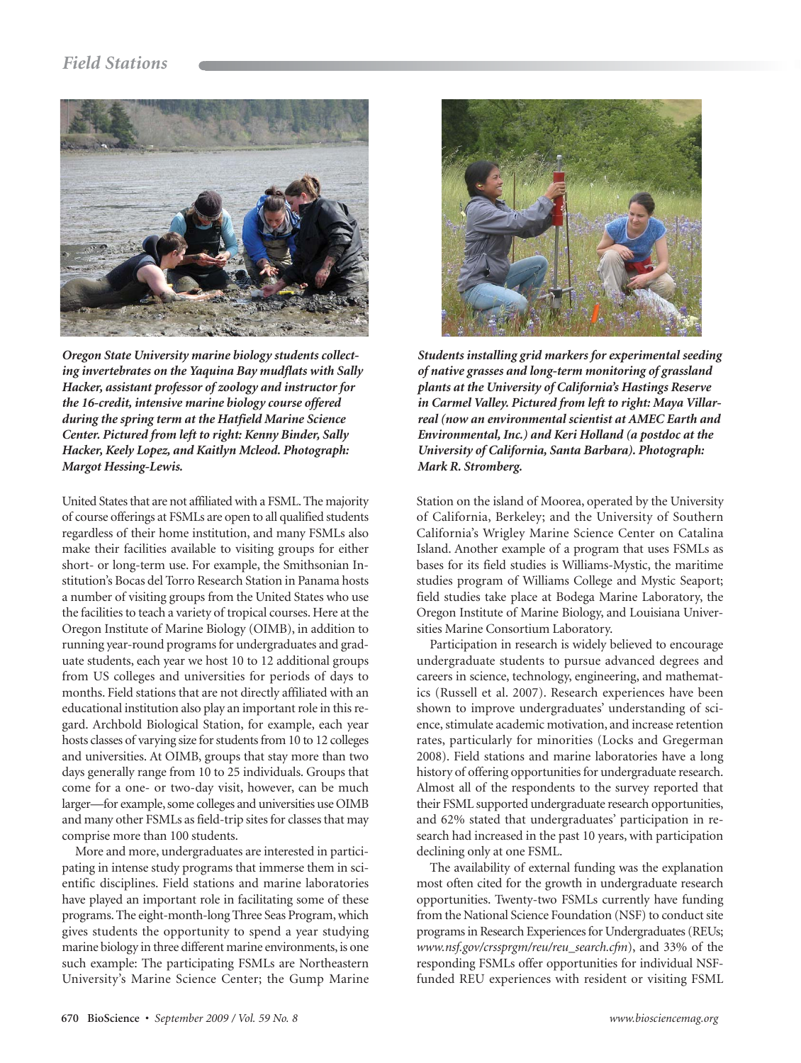## *Field Stations*



*Oregon State University marine biology students collecting invertebrates on the Yaquina Bay mudflats with Sally Hacker, assistant professor of zoology and instructor for the 16-credit, intensive marine biology course offered during the spring term at the Hatfield Marine Science Center. Pictured from left to right: Kenny Binder, Sally Hacker, Keely Lopez, and Kaitlyn Mcleod. Photograph: Margot Hessing-Lewis.*

United States that are not affiliated with a FSML. The majority of course offerings at FSMLs are open to all qualified students regardless of their home institution, and many FSMLs also make their facilities available to visiting groups for either short- or long-term use. For example, the Smithsonian Institution's Bocas del Torro Research Station in Panama hosts a number of visiting groups from the United States who use the facilities to teach a variety of tropical courses. Here at the Oregon Institute of Marine Biology (OIMB), in addition to running year-round programs for undergraduates and graduate students, each year we host 10 to 12 additional groups from US colleges and universities for periods of days to months. Field stations that are not directly affiliated with an educational institution also play an important role in this regard. Archbold Biological Station, for example, each year hosts classes of varying size for students from 10 to 12 colleges and universities. At OIMB, groups that stay more than two days generally range from 10 to 25 individuals. Groups that come for a one- or two-day visit, however, can be much larger—for example, some colleges and universities use OIMB and many other FSMLs as field-trip sites for classes that may comprise more than 100 students.

More and more, undergraduates are interested in participating in intense study programs that immerse them in scientific disciplines. Field stations and marine laboratories have played an important role in facilitating some of these programs. The eight-month-long Three Seas Program, which gives students the opportunity to spend a year studying marine biology in three different marine environments, is one such example: The participating FSMLs are Northeastern University's Marine Science Center; the Gump Marine



*Students installing grid markers for experimental seeding of native grasses and long-term monitoring of grassland plants at the University of California's Hastings Reserve in Carmel Valley. Pictured from left to right: Maya Villarreal (now an environmental scientist at AMEC Earth and Environmental, Inc.) and Keri Holland (a postdoc at the University of California, Santa Barbara). Photograph: Mark R. Stromberg.*

Station on the island of Moorea, operated by the University of California, Berkeley; and the University of Southern California's Wrigley Marine Science Center on Catalina Island. Another example of a program that uses FSMLs as bases for its field studies is Williams-Mystic, the maritime studies program of Williams College and Mystic Seaport; field studies take place at Bodega Marine Laboratory, the Oregon Institute of Marine Biology, and Louisiana Universities Marine Consortium Laboratory.

Participation in research is widely believed to encourage undergraduate students to pursue advanced degrees and careers in science, technology, engineering, and mathematics (Russell et al. 2007). Research experiences have been shown to improve undergraduates' understanding of science, stimulate academic motivation, and increase retention rates, particularly for minorities (Locks and Gregerman 2008). Field stations and marine laboratories have a long history of offering opportunities for undergraduate research. Almost all of the respondents to the survey reported that their FSML supported undergraduate research opportunities, and 62% stated that undergraduates' participation in research had increased in the past 10 years, with participation declining only at one FSML.

The availability of external funding was the explanation most often cited for the growth in undergraduate research opportunities. Twenty-two FSMLs currently have funding from the National Science Foundation (NSF) to conduct site programs in Research Experiences for Undergraduates (REUs; *www.nsf.gov/crssprgm/reu/reu\_search.cfm*), and 33% of the responding FSMLs offer opportunities for individual NSFfunded REU experiences with resident or visiting FSML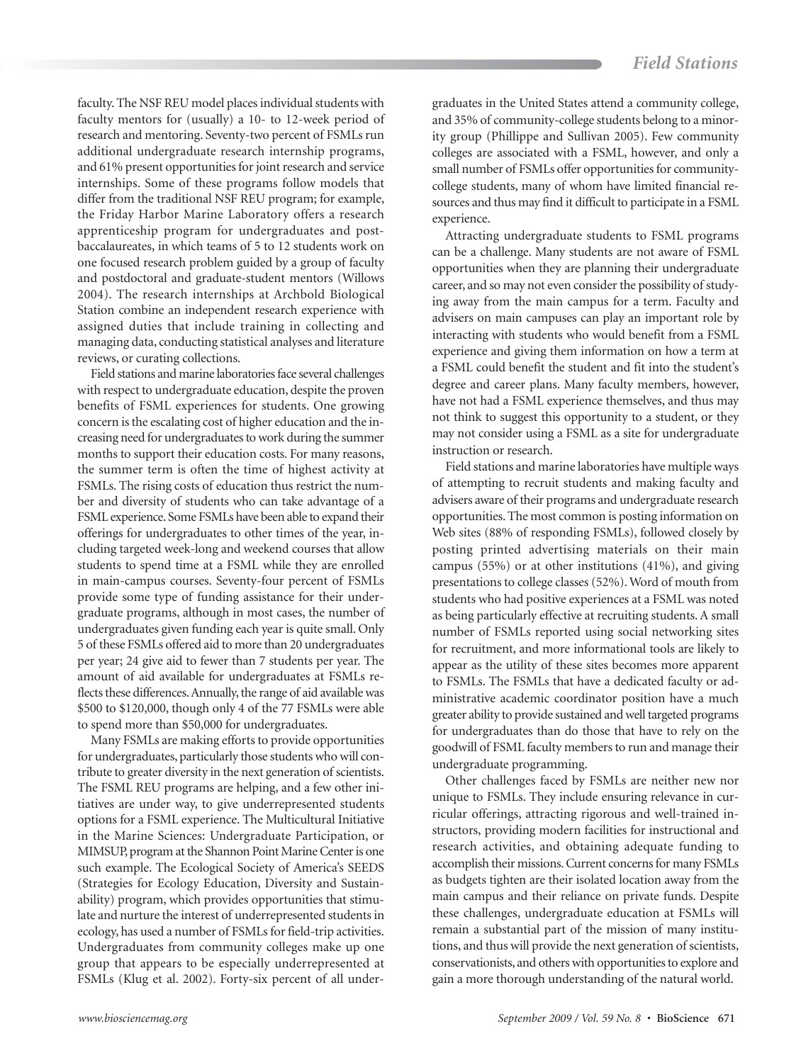faculty. The NSF REU model places individual students with faculty mentors for (usually) a 10- to 12-week period of research and mentoring. Seventy-two percent of FSMLs run additional undergraduate research internship programs, and 61% present opportunities for joint research and service internships. Some of these programs follow models that differ from the traditional NSF REU program; for example, the Friday Harbor Marine Laboratory offers a research apprenticeship program for undergraduates and postbaccalaureates, in which teams of 5 to 12 students work on one focused research problem guided by a group of faculty and postdoctoral and graduate-student mentors (Willows 2004). The research internships at Archbold Biological Station combine an independent research experience with assigned duties that include training in collecting and managing data, conducting statistical analyses and literature reviews, or curating collections.

Field stations and marine laboratories face several challenges with respect to undergraduate education, despite the proven benefits of FSML experiences for students. One growing concern is the escalating cost of higher education and the increasing need for undergraduates to work during the summer months to support their education costs. For many reasons, the summer term is often the time of highest activity at FSMLs. The rising costs of education thus restrict the number and diversity of students who can take advantage of a FSML experience. Some FSMLs have been able to expand their offerings for undergraduates to other times of the year, including targeted week-long and weekend courses that allow students to spend time at a FSML while they are enrolled in main-campus courses. Seventy-four percent of FSMLs provide some type of funding assistance for their undergraduate programs, although in most cases, the number of undergraduates given funding each year is quite small. Only 5 of these FSMLs offered aid to more than 20 undergraduates per year; 24 give aid to fewer than 7 students per year. The amount of aid available for undergraduates at FSMLs reflects these differences. Annually, the range of aid available was \$500 to \$120,000, though only 4 of the 77 FSMLs were able to spend more than \$50,000 for undergraduates.

Many FSMLs are making efforts to provide opportunities for undergraduates, particularly those students who will contribute to greater diversity in the next generation of scientists. The FSML REU programs are helping, and a few other initiatives are under way, to give underrepresented students options for a FSML experience. The Multicultural Initiative in the Marine Sciences: Undergraduate Participation, or MIMSUP, program at the Shannon Point Marine Center is one such example. The Ecological Society of America's SEEDS (Strategies for Ecology Education, Diversity and Sustainability) program, which provides opportunities that stimulate and nurture the interest of underrepresented students in ecology, has used a number of FSMLs for field-trip activities. Undergraduates from community colleges make up one group that appears to be especially underrepresented at FSMLs (Klug et al. 2002). Forty-six percent of all undergraduates in the United States attend a community college, and 35% of community-college students belong to a minority group (Phillippe and Sullivan 2005). Few community colleges are associated with a FSML, however, and only a small number of FSMLs offer opportunities for communitycollege students, many of whom have limited financial resources and thus may find it difficult to participate in a FSML experience.

Attracting undergraduate students to FSML programs can be a challenge. Many students are not aware of FSML opportunities when they are planning their undergraduate career, and so may not even consider the possibility of studying away from the main campus for a term. Faculty and advisers on main campuses can play an important role by interacting with students who would benefit from a FSML experience and giving them information on how a term at a FSML could benefit the student and fit into the student's degree and career plans. Many faculty members, however, have not had a FSML experience themselves, and thus may not think to suggest this opportunity to a student, or they may not consider using a FSML as a site for undergraduate instruction or research.

Field stations and marine laboratories have multiple ways of attempting to recruit students and making faculty and advisers aware of their programs and undergraduate research opportunities. The most common is posting information on Web sites (88% of responding FSMLs), followed closely by posting printed advertising materials on their main campus (55%) or at other institutions (41%), and giving presentations to college classes (52%). Word of mouth from students who had positive experiences at a FSML was noted as being particularly effective at recruiting students. A small number of FSMLs reported using social networking sites for recruitment, and more informational tools are likely to appear as the utility of these sites becomes more apparent to FSMLs. The FSMLs that have a dedicated faculty or administrative academic coordinator position have a much greater ability to provide sustained and well targeted programs for undergraduates than do those that have to rely on the goodwill of FSML faculty members to run and manage their undergraduate programming.

Other challenges faced by FSMLs are neither new nor unique to FSMLs. They include ensuring relevance in curricular offerings, attracting rigorous and well-trained instructors, providing modern facilities for instructional and research activities, and obtaining adequate funding to accomplish their missions. Current concerns for many FSMLs as budgets tighten are their isolated location away from the main campus and their reliance on private funds. Despite these challenges, undergraduate education at FSMLs will remain a substantial part of the mission of many institutions, and thus will provide the next generation of scientists, conservationists, and others with opportunities to explore and gain a more thorough understanding of the natural world.